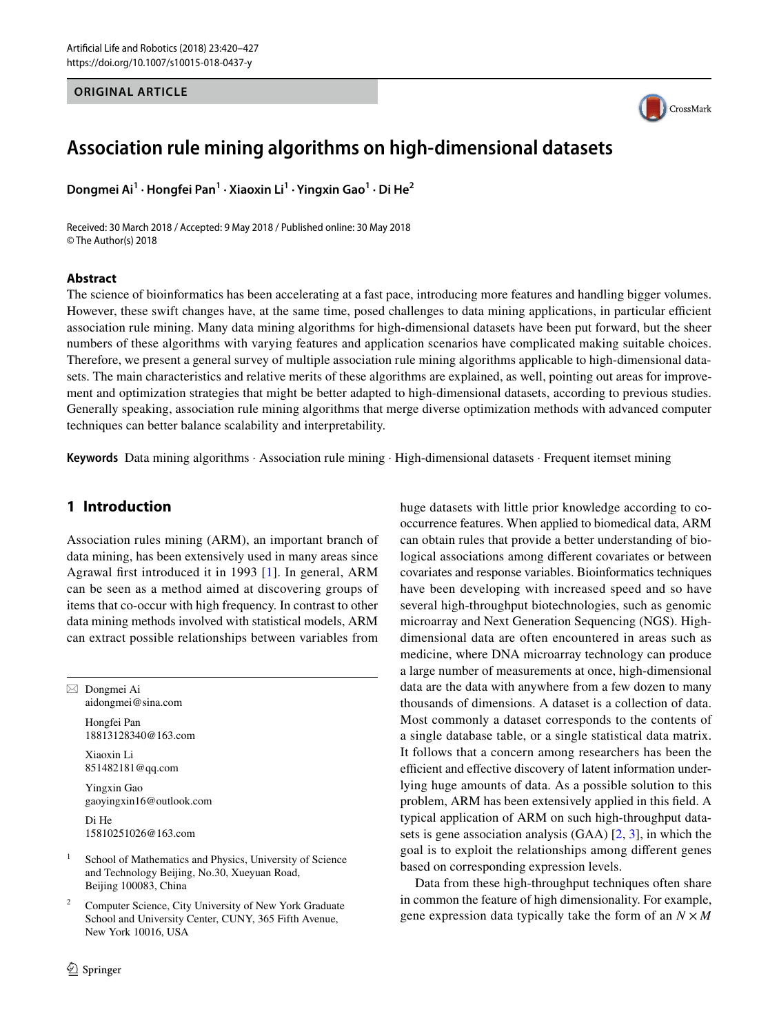#### **ORIGINAL ARTICLE**



# **Association rule mining algorithms on high-dimensional datasets**

**Dongmei Ai1 · Hongfei Pan1 · Xiaoxin Li1 · Yingxin Gao1 · Di He2**

Received: 30 March 2018 / Accepted: 9 May 2018 / Published online: 30 May 2018 © The Author(s) 2018

#### **Abstract**

The science of bioinformatics has been accelerating at a fast pace, introducing more features and handling bigger volumes. However, these swift changes have, at the same time, posed challenges to data mining applications, in particular efficient association rule mining. Many data mining algorithms for high-dimensional datasets have been put forward, but the sheer numbers of these algorithms with varying features and application scenarios have complicated making suitable choices. Therefore, we present a general survey of multiple association rule mining algorithms applicable to high-dimensional datasets. The main characteristics and relative merits of these algorithms are explained, as well, pointing out areas for improvement and optimization strategies that might be better adapted to high-dimensional datasets, according to previous studies. Generally speaking, association rule mining algorithms that merge diverse optimization methods with advanced computer techniques can better balance scalability and interpretability.

**Keywords** Data mining algorithms · Association rule mining · High-dimensional datasets · Frequent itemset mining

# **1 Introduction**

Association rules mining (ARM), an important branch of data mining, has been extensively used in many areas since Agrawal first introduced it in 1993 [[1\]](#page-5-0). In general, ARM can be seen as a method aimed at discovering groups of items that co-occur with high frequency. In contrast to other data mining methods involved with statistical models, ARM can extract possible relationships between variables from

 $\boxtimes$  Dongmei Ai aidongmei@sina.com Hongfei Pan 18813128340@163.com Xiaoxin Li 851482181@qq.com Yingxin Gao gaoyingxin16@outlook.com Di He 15810251026@163.com

<sup>1</sup> School of Mathematics and Physics, University of Science and Technology Beijing, No.30, Xueyuan Road, Beijing 100083, China

Computer Science, City University of New York Graduate School and University Center, CUNY, 365 Fifth Avenue, New York 10016, USA

huge datasets with little prior knowledge according to cooccurrence features. When applied to biomedical data, ARM can obtain rules that provide a better understanding of biological associations among different covariates or between covariates and response variables. Bioinformatics techniques have been developing with increased speed and so have several high-throughput biotechnologies, such as genomic microarray and Next Generation Sequencing (NGS). Highdimensional data are often encountered in areas such as medicine, where DNA microarray technology can produce a large number of measurements at once, high-dimensional data are the data with anywhere from a few dozen to many thousands of dimensions. A dataset is a collection of data. Most commonly a dataset corresponds to the contents of a single database table, or a single statistical data matrix. It follows that a concern among researchers has been the efficient and effective discovery of latent information underlying huge amounts of data. As a possible solution to this problem, ARM has been extensively applied in this field. A typical application of ARM on such high-throughput datasets is gene association analysis (GAA) [[2,](#page-5-1) [3](#page-5-2)], in which the goal is to exploit the relationships among different genes based on corresponding expression levels.

Data from these high-throughput techniques often share in common the feature of high dimensionality. For example, gene expression data typically take the form of an  $N \times M$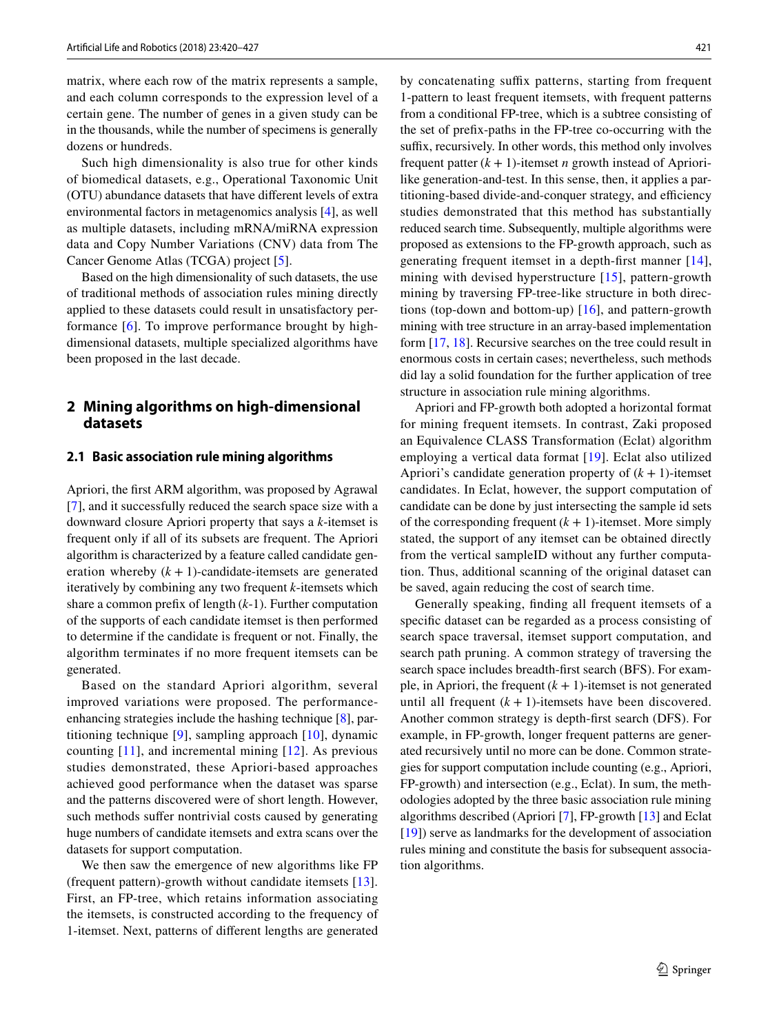matrix, where each row of the matrix represents a sample, and each column corresponds to the expression level of a certain gene. The number of genes in a given study can be in the thousands, while the number of specimens is generally dozens or hundreds.

Such high dimensionality is also true for other kinds of biomedical datasets, e.g., Operational Taxonomic Unit (OTU) abundance datasets that have different levels of extra environmental factors in metagenomics analysis [\[4](#page-5-3)], as well as multiple datasets, including mRNA/miRNA expression data and Copy Number Variations (CNV) data from The Cancer Genome Atlas (TCGA) project [[5\]](#page-5-4).

Based on the high dimensionality of such datasets, the use of traditional methods of association rules mining directly applied to these datasets could result in unsatisfactory performance [[6\]](#page-5-5). To improve performance brought by highdimensional datasets, multiple specialized algorithms have been proposed in the last decade.

# **2 Mining algorithms on high‑dimensional datasets**

#### **2.1 Basic association rule mining algorithms**

Apriori, the first ARM algorithm, was proposed by Agrawal [\[7](#page-5-6)], and it successfully reduced the search space size with a downward closure Apriori property that says a *k*-itemset is frequent only if all of its subsets are frequent. The Apriori algorithm is characterized by a feature called candidate generation whereby  $(k + 1)$ -candidate-itemsets are generated iteratively by combining any two frequent *k*-itemsets which share a common prefix of length (*k*-1). Further computation of the supports of each candidate itemset is then performed to determine if the candidate is frequent or not. Finally, the algorithm terminates if no more frequent itemsets can be generated.

Based on the standard Apriori algorithm, several improved variations were proposed. The performanceenhancing strategies include the hashing technique [\[8](#page-5-7)], partitioning technique [\[9\]](#page-5-8), sampling approach [\[10\]](#page-5-9), dynamic counting [[11](#page-5-10)], and incremental mining [[12\]](#page-5-11). As previous studies demonstrated, these Apriori-based approaches achieved good performance when the dataset was sparse and the patterns discovered were of short length. However, such methods suffer nontrivial costs caused by generating huge numbers of candidate itemsets and extra scans over the datasets for support computation.

We then saw the emergence of new algorithms like FP (frequent pattern)-growth without candidate itemsets [[13](#page-6-0)]. First, an FP-tree, which retains information associating the itemsets, is constructed according to the frequency of 1-itemset. Next, patterns of different lengths are generated by concatenating suffix patterns, starting from frequent 1-pattern to least frequent itemsets, with frequent patterns from a conditional FP-tree, which is a subtree consisting of the set of prefix-paths in the FP-tree co-occurring with the suffix, recursively. In other words, this method only involves frequent patter  $(k + 1)$ -itemset *n* growth instead of Apriorilike generation-and-test. In this sense, then, it applies a partitioning-based divide-and-conquer strategy, and efficiency studies demonstrated that this method has substantially reduced search time. Subsequently, multiple algorithms were proposed as extensions to the FP-growth approach, such as generating frequent itemset in a depth-first manner [[14](#page-6-1)], mining with devised hyperstructure [[15\]](#page-6-2), pattern-growth mining by traversing FP-tree-like structure in both directions (top-down and bottom-up)  $[16]$  $[16]$ , and pattern-growth mining with tree structure in an array-based implementation form [\[17](#page-6-4), [18](#page-6-5)]. Recursive searches on the tree could result in enormous costs in certain cases; nevertheless, such methods did lay a solid foundation for the further application of tree structure in association rule mining algorithms.

Apriori and FP-growth both adopted a horizontal format for mining frequent itemsets. In contrast, Zaki proposed an Equivalence CLASS Transformation (Eclat) algorithm employing a vertical data format [\[19\]](#page-6-6). Eclat also utilized Apriori's candidate generation property of  $(k + 1)$ -itemset candidates. In Eclat, however, the support computation of candidate can be done by just intersecting the sample id sets of the corresponding frequent  $(k + 1)$ -itemset. More simply stated, the support of any itemset can be obtained directly from the vertical sampleID without any further computation. Thus, additional scanning of the original dataset can be saved, again reducing the cost of search time.

Generally speaking, finding all frequent itemsets of a specific dataset can be regarded as a process consisting of search space traversal, itemset support computation, and search path pruning. A common strategy of traversing the search space includes breadth-first search (BFS). For example, in Apriori, the frequent  $(k + 1)$ -itemset is not generated until all frequent  $(k + 1)$ -itemsets have been discovered. Another common strategy is depth-first search (DFS). For example, in FP-growth, longer frequent patterns are generated recursively until no more can be done. Common strategies for support computation include counting (e.g., Apriori, FP-growth) and intersection (e.g., Eclat). In sum, the methodologies adopted by the three basic association rule mining algorithms described (Apriori [[7\]](#page-5-6), FP-growth [[13\]](#page-6-0) and Eclat [\[19\]](#page-6-6)) serve as landmarks for the development of association rules mining and constitute the basis for subsequent association algorithms.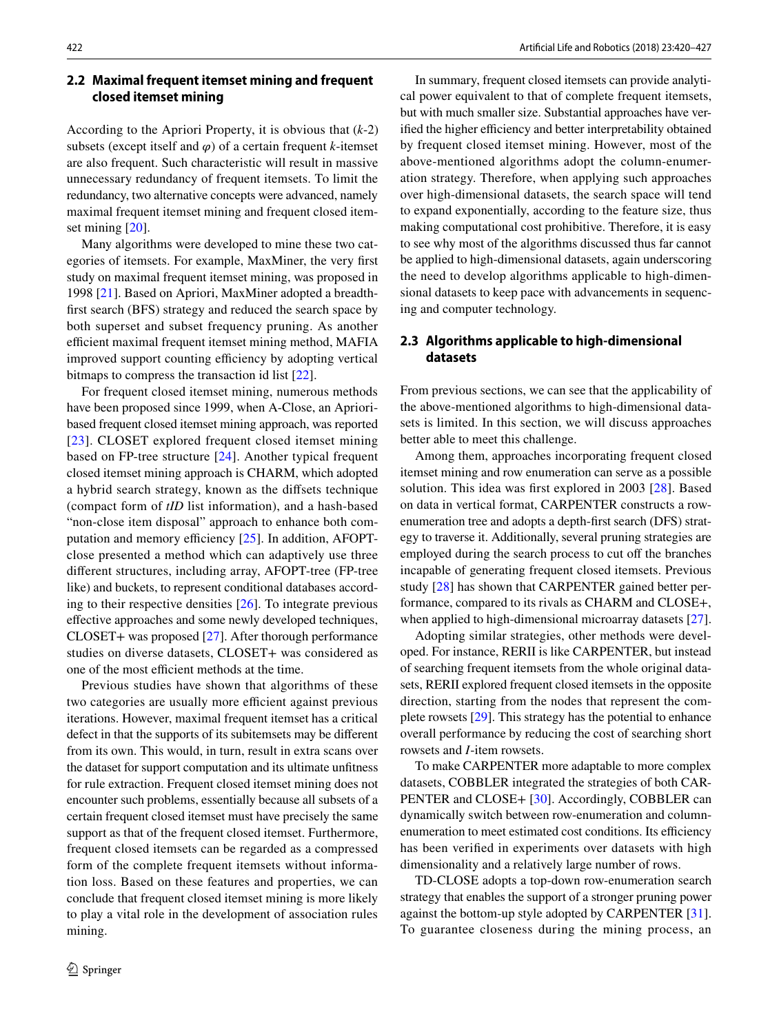# **2.2 Maximal frequent itemset mining and frequent closed itemset mining**

According to the Apriori Property, it is obvious that (*k*-2) subsets (except itself and  $\varphi$ ) of a certain frequent *k*-itemset are also frequent. Such characteristic will result in massive unnecessary redundancy of frequent itemsets. To limit the redundancy, two alternative concepts were advanced, namely maximal frequent itemset mining and frequent closed itemset mining [\[20](#page-6-7)].

Many algorithms were developed to mine these two categories of itemsets. For example, MaxMiner, the very first study on maximal frequent itemset mining, was proposed in 1998 [[21\]](#page-6-8). Based on Apriori, MaxMiner adopted a breadthfirst search (BFS) strategy and reduced the search space by both superset and subset frequency pruning. As another efficient maximal frequent itemset mining method, MAFIA improved support counting efficiency by adopting vertical bitmaps to compress the transaction id list [\[22\]](#page-6-9).

For frequent closed itemset mining, numerous methods have been proposed since 1999, when A-Close, an Aprioribased frequent closed itemset mining approach, was reported [[23](#page-6-10)]. CLOSET explored frequent closed itemset mining based on FP-tree structure [\[24\]](#page-6-11). Another typical frequent closed itemset mining approach is CHARM, which adopted a hybrid search strategy, known as the diffsets technique (compact form of *tID* list information), and a hash-based "non-close item disposal" approach to enhance both computation and memory efficiency [\[25](#page-6-12)]. In addition, AFOPTclose presented a method which can adaptively use three different structures, including array, AFOPT-tree (FP-tree like) and buckets, to represent conditional databases according to their respective densities [[26\]](#page-6-13). To integrate previous effective approaches and some newly developed techniques, CLOSET+ was proposed [\[27](#page-6-14)]. After thorough performance studies on diverse datasets, CLOSET+ was considered as one of the most efficient methods at the time.

Previous studies have shown that algorithms of these two categories are usually more efficient against previous iterations. However, maximal frequent itemset has a critical defect in that the supports of its subitemsets may be different from its own. This would, in turn, result in extra scans over the dataset for support computation and its ultimate unfitness for rule extraction. Frequent closed itemset mining does not encounter such problems, essentially because all subsets of a certain frequent closed itemset must have precisely the same support as that of the frequent closed itemset. Furthermore, frequent closed itemsets can be regarded as a compressed form of the complete frequent itemsets without information loss. Based on these features and properties, we can conclude that frequent closed itemset mining is more likely to play a vital role in the development of association rules mining.

In summary, frequent closed itemsets can provide analytical power equivalent to that of complete frequent itemsets, but with much smaller size. Substantial approaches have verified the higher efficiency and better interpretability obtained by frequent closed itemset mining. However, most of the above-mentioned algorithms adopt the column-enumeration strategy. Therefore, when applying such approaches over high-dimensional datasets, the search space will tend to expand exponentially, according to the feature size, thus making computational cost prohibitive. Therefore, it is easy to see why most of the algorithms discussed thus far cannot be applied to high-dimensional datasets, again underscoring the need to develop algorithms applicable to high-dimensional datasets to keep pace with advancements in sequencing and computer technology.

### **2.3 Algorithms applicable to high‑dimensional datasets**

From previous sections, we can see that the applicability of the above-mentioned algorithms to high-dimensional datasets is limited. In this section, we will discuss approaches better able to meet this challenge.

Among them, approaches incorporating frequent closed itemset mining and row enumeration can serve as a possible solution. This idea was first explored in 2003 [\[28](#page-6-15)]. Based on data in vertical format, CARPENTER constructs a rowenumeration tree and adopts a depth-first search (DFS) strategy to traverse it. Additionally, several pruning strategies are employed during the search process to cut off the branches incapable of generating frequent closed itemsets. Previous study [[28\]](#page-6-15) has shown that CARPENTER gained better performance, compared to its rivals as CHARM and CLOSE+, when applied to high-dimensional microarray datasets [\[27](#page-6-14)].

Adopting similar strategies, other methods were developed. For instance, RERII is like CARPENTER, but instead of searching frequent itemsets from the whole original datasets, RERII explored frequent closed itemsets in the opposite direction, starting from the nodes that represent the complete rowsets [\[29\]](#page-6-16). This strategy has the potential to enhance overall performance by reducing the cost of searching short rowsets and *I*-item rowsets.

To make CARPENTER more adaptable to more complex datasets, COBBLER integrated the strategies of both CAR-PENTER and CLOSE+ [\[30](#page-6-17)]. Accordingly, COBBLER can dynamically switch between row-enumeration and columnenumeration to meet estimated cost conditions. Its efficiency has been verified in experiments over datasets with high dimensionality and a relatively large number of rows.

TD-CLOSE adopts a top-down row-enumeration search strategy that enables the support of a stronger pruning power against the bottom-up style adopted by CARPENTER [\[31](#page-6-18)]. To guarantee closeness during the mining process, an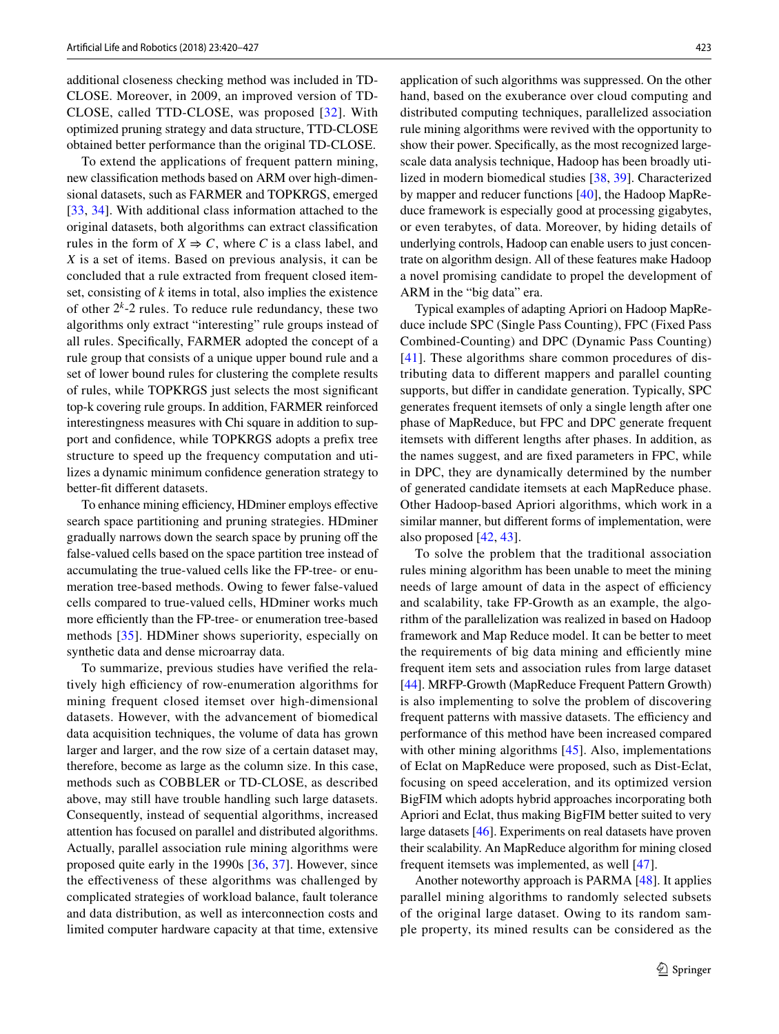additional closeness checking method was included in TD-CLOSE. Moreover, in 2009, an improved version of TD-CLOSE, called TTD-CLOSE, was proposed [[32](#page-6-19)]. With optimized pruning strategy and data structure, TTD-CLOSE obtained better performance than the original TD-CLOSE.

To extend the applications of frequent pattern mining, new classification methods based on ARM over high-dimensional datasets, such as FARMER and TOPKRGS, emerged [\[33,](#page-6-20) [34](#page-6-21)]. With additional class information attached to the original datasets, both algorithms can extract classification rules in the form of  $X \Rightarrow C$ , where *C* is a class label, and *X* is a set of items. Based on previous analysis, it can be concluded that a rule extracted from frequent closed itemset, consisting of *k* items in total, also implies the existence of other  $2^k - 2$  rules. To reduce rule redundancy, these two algorithms only extract "interesting" rule groups instead of all rules. Specifically, FARMER adopted the concept of a rule group that consists of a unique upper bound rule and a set of lower bound rules for clustering the complete results of rules, while TOPKRGS just selects the most significant top-k covering rule groups. In addition, FARMER reinforced interestingness measures with Chi square in addition to support and confidence, while TOPKRGS adopts a prefix tree structure to speed up the frequency computation and utilizes a dynamic minimum confidence generation strategy to better-fit different datasets.

To enhance mining efficiency, HDminer employs effective search space partitioning and pruning strategies. HDminer gradually narrows down the search space by pruning off the false-valued cells based on the space partition tree instead of accumulating the true-valued cells like the FP-tree- or enumeration tree-based methods. Owing to fewer false-valued cells compared to true-valued cells, HDminer works much more efficiently than the FP-tree- or enumeration tree-based methods [[35\]](#page-6-22). HDMiner shows superiority, especially on synthetic data and dense microarray data.

To summarize, previous studies have verified the relatively high efficiency of row-enumeration algorithms for mining frequent closed itemset over high-dimensional datasets. However, with the advancement of biomedical data acquisition techniques, the volume of data has grown larger and larger, and the row size of a certain dataset may, therefore, become as large as the column size. In this case, methods such as COBBLER or TD-CLOSE, as described above, may still have trouble handling such large datasets. Consequently, instead of sequential algorithms, increased attention has focused on parallel and distributed algorithms. Actually, parallel association rule mining algorithms were proposed quite early in the 1990s [[36,](#page-6-23) [37](#page-6-24)]. However, since the effectiveness of these algorithms was challenged by complicated strategies of workload balance, fault tolerance and data distribution, as well as interconnection costs and limited computer hardware capacity at that time, extensive application of such algorithms was suppressed. On the other hand, based on the exuberance over cloud computing and distributed computing techniques, parallelized association rule mining algorithms were revived with the opportunity to show their power. Specifically, as the most recognized largescale data analysis technique, Hadoop has been broadly utilized in modern biomedical studies [\[38](#page-6-25), [39](#page-6-26)]. Characterized by mapper and reducer functions [[40](#page-6-27)], the Hadoop MapReduce framework is especially good at processing gigabytes, or even terabytes, of data. Moreover, by hiding details of underlying controls, Hadoop can enable users to just concentrate on algorithm design. All of these features make Hadoop a novel promising candidate to propel the development of ARM in the "big data" era.

Typical examples of adapting Apriori on Hadoop MapReduce include SPC (Single Pass Counting), FPC (Fixed Pass Combined-Counting) and DPC (Dynamic Pass Counting) [[41\]](#page-6-28). These algorithms share common procedures of distributing data to different mappers and parallel counting supports, but differ in candidate generation. Typically, SPC generates frequent itemsets of only a single length after one phase of MapReduce, but FPC and DPC generate frequent itemsets with different lengths after phases. In addition, as the names suggest, and are fixed parameters in FPC, while in DPC, they are dynamically determined by the number of generated candidate itemsets at each MapReduce phase. Other Hadoop-based Apriori algorithms, which work in a similar manner, but different forms of implementation, were also proposed [[42,](#page-6-29) [43\]](#page-6-30).

To solve the problem that the traditional association rules mining algorithm has been unable to meet the mining needs of large amount of data in the aspect of efficiency and scalability, take FP-Growth as an example, the algorithm of the parallelization was realized in based on Hadoop framework and Map Reduce model. It can be better to meet the requirements of big data mining and efficiently mine frequent item sets and association rules from large dataset [\[44](#page-6-31)]. MRFP-Growth (MapReduce Frequent Pattern Growth) is also implementing to solve the problem of discovering frequent patterns with massive datasets. The efficiency and performance of this method have been increased compared with other mining algorithms [[45\]](#page-6-32). Also, implementations of Eclat on MapReduce were proposed, such as Dist-Eclat, focusing on speed acceleration, and its optimized version BigFIM which adopts hybrid approaches incorporating both Apriori and Eclat, thus making BigFIM better suited to very large datasets [\[46](#page-6-33)]. Experiments on real datasets have proven their scalability. An MapReduce algorithm for mining closed frequent itemsets was implemented, as well [\[47](#page-6-34)].

Another noteworthy approach is PARMA [\[48](#page-6-35)]. It applies parallel mining algorithms to randomly selected subsets of the original large dataset. Owing to its random sample property, its mined results can be considered as the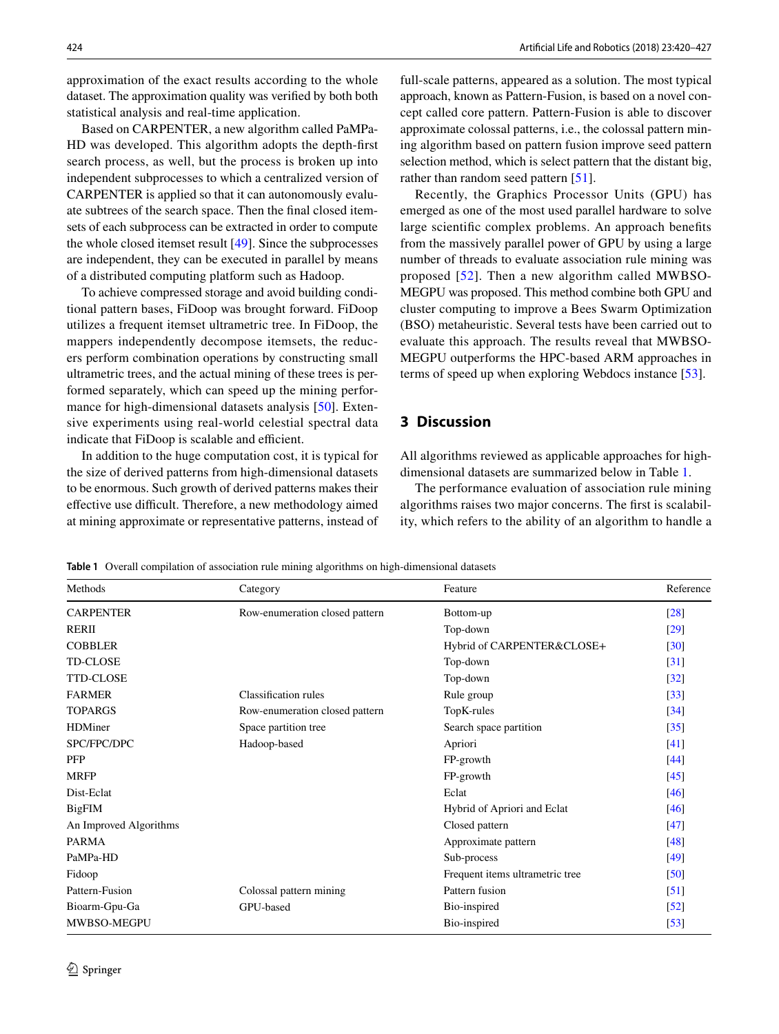approximation of the exact results according to the whole dataset. The approximation quality was verified by both both statistical analysis and real-time application.

Based on CARPENTER, a new algorithm called PaMPa-HD was developed. This algorithm adopts the depth-first search process, as well, but the process is broken up into independent subprocesses to which a centralized version of CARPENTER is applied so that it can autonomously evaluate subtrees of the search space. Then the final closed itemsets of each subprocess can be extracted in order to compute the whole closed itemset result [\[49](#page-6-36)]. Since the subprocesses are independent, they can be executed in parallel by means of a distributed computing platform such as Hadoop.

To achieve compressed storage and avoid building conditional pattern bases, FiDoop was brought forward. FiDoop utilizes a frequent itemset ultrametric tree. In FiDoop, the mappers independently decompose itemsets, the reducers perform combination operations by constructing small ultrametric trees, and the actual mining of these trees is performed separately, which can speed up the mining performance for high-dimensional datasets analysis [\[50](#page-6-37)]. Extensive experiments using real-world celestial spectral data indicate that FiDoop is scalable and efficient.

In addition to the huge computation cost, it is typical for the size of derived patterns from high-dimensional datasets to be enormous. Such growth of derived patterns makes their effective use difficult. Therefore, a new methodology aimed at mining approximate or representative patterns, instead of full-scale patterns, appeared as a solution. The most typical approach, known as Pattern-Fusion, is based on a novel concept called core pattern. Pattern-Fusion is able to discover approximate colossal patterns, i.e., the colossal pattern mining algorithm based on pattern fusion improve seed pattern selection method, which is select pattern that the distant big, rather than random seed pattern [[51](#page-6-38)].

Recently, the Graphics Processor Units (GPU) has emerged as one of the most used parallel hardware to solve large scientific complex problems. An approach benefits from the massively parallel power of GPU by using a large number of threads to evaluate association rule mining was proposed [[52\]](#page-6-39). Then a new algorithm called MWBSO-MEGPU was proposed. This method combine both GPU and cluster computing to improve a Bees Swarm Optimization (BSO) metaheuristic. Several tests have been carried out to evaluate this approach. The results reveal that MWBSO-MEGPU outperforms the HPC-based ARM approaches in terms of speed up when exploring Webdocs instance [[53](#page-6-40)].

## **3 Discussion**

All algorithms reviewed as applicable approaches for highdimensional datasets are summarized below in Table [1.](#page-4-0)

The performance evaluation of association rule mining algorithms raises two major concerns. The first is scalability, which refers to the ability of an algorithm to handle a

<span id="page-4-0"></span>**Table 1** Overall compilation of association rule mining algorithms on high-dimensional datasets

| Methods                | Category                       | Feature                         | Reference         |
|------------------------|--------------------------------|---------------------------------|-------------------|
| <b>CARPENTER</b>       | Row-enumeration closed pattern | Bottom-up                       | $[28]$            |
| <b>RERII</b>           |                                | Top-down                        | $[29]$            |
| <b>COBBLER</b>         |                                | Hybrid of CARPENTER&CLOSE+      | $\left[30\right]$ |
| <b>TD-CLOSE</b>        |                                | Top-down                        | $\left[31\right]$ |
| <b>TTD-CLOSE</b>       |                                | Top-down                        | $[32]$            |
| <b>FARMER</b>          | Classification rules           | Rule group                      | $[33]$            |
| <b>TOPARGS</b>         | Row-enumeration closed pattern | TopK-rules                      | $[34]$            |
| <b>HDMiner</b>         | Space partition tree           | Search space partition          | $[35]$            |
| SPC/FPC/DPC            | Hadoop-based                   | Apriori                         | $[41]$            |
| <b>PFP</b>             |                                | FP-growth                       | $[44]$            |
| MRFP                   |                                | FP-growth                       | $[45]$            |
| Dist-Eclat             |                                | Eclat                           | $[46]$            |
| <b>BigFIM</b>          |                                | Hybrid of Apriori and Eclat     | $[46]$            |
| An Improved Algorithms |                                | Closed pattern                  | $[47]$            |
| <b>PARMA</b>           |                                | Approximate pattern             | $[48]$            |
| PaMPa-HD               |                                | Sub-process                     | $[49]$            |
| Fidoop                 |                                | Frequent items ultrametric tree | [50]              |
| Pattern-Fusion         | Colossal pattern mining        | Pattern fusion                  | $\left[51\right]$ |
| Bioarm-Gpu-Ga          | GPU-based                      | Bio-inspired                    | $[52]$            |
| MWBSO-MEGPU            |                                | Bio-inspired                    | $[53]$            |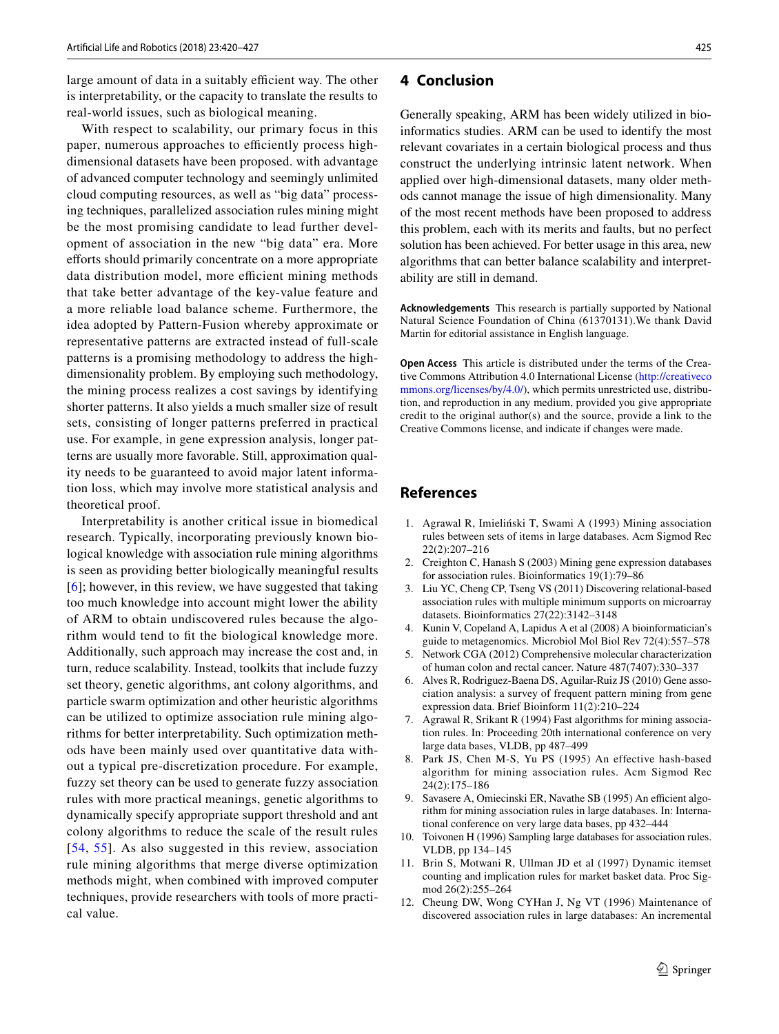large amount of data in a suitably efficient way. The other is interpretability, or the capacity to translate the results to real-world issues, such as biological meaning.

With respect to scalability, our primary focus in this paper, numerous approaches to efficiently process highdimensional datasets have been proposed. with advantage of advanced computer technology and seemingly unlimited cloud computing resources, as well as "big data" processing techniques, parallelized association rules mining might be the most promising candidate to lead further development of association in the new "big data" era. More efforts should primarily concentrate on a more appropriate data distribution model, more efficient mining methods that take better advantage of the key-value feature and a more reliable load balance scheme. Furthermore, the idea adopted by Pattern-Fusion whereby approximate or representative patterns are extracted instead of full-scale patterns is a promising methodology to address the highdimensionality problem. By employing such methodology, the mining process realizes a cost savings by identifying shorter patterns. It also yields a much smaller size of result sets, consisting of longer patterns preferred in practical use. For example, in gene expression analysis, longer patterns are usually more favorable. Still, approximation quality needs to be guaranteed to avoid major latent information loss, which may involve more statistical analysis and theoretical proof.

Interpretability is another critical issue in biomedical research. Typically, incorporating previously known biological knowledge with association rule mining algorithms is seen as providing better biologically meaningful results [\[6\]](#page-5-5); however, in this review, we have suggested that taking too much knowledge into account might lower the ability of ARM to obtain undiscovered rules because the algorithm would tend to fit the biological knowledge more. Additionally, such approach may increase the cost and, in turn, reduce scalability. Instead, toolkits that include fuzzy set theory, genetic algorithms, ant colony algorithms, and particle swarm optimization and other heuristic algorithms can be utilized to optimize association rule mining algorithms for better interpretability. Such optimization methods have been mainly used over quantitative data without a typical pre-discretization procedure. For example, fuzzy set theory can be used to generate fuzzy association rules with more practical meanings, genetic algorithms to dynamically specify appropriate support threshold and ant colony algorithms to reduce the scale of the result rules [[54](#page-6-41), [55](#page-7-0)]. As also suggested in this review, association rule mining algorithms that merge diverse optimization methods might, when combined with improved computer techniques, provide researchers with tools of more practical value.

# **4 Conclusion**

Generally speaking, ARM has been widely utilized in bioinformatics studies. ARM can be used to identify the most relevant covariates in a certain biological process and thus construct the underlying intrinsic latent network. When applied over high-dimensional datasets, many older methods cannot manage the issue of high dimensionality. Many of the most recent methods have been proposed to address this problem, each with its merits and faults, but no perfect solution has been achieved. For better usage in this area, new algorithms that can better balance scalability and interpretability are still in demand.

**Acknowledgements** This research is partially supported by National Natural Science Foundation of China (61370131).We thank David Martin for editorial assistance in English language.

**Open Access** This article is distributed under the terms of the Creative Commons Attribution 4.0 International License ([http://creativeco](http://creativecommons.org/licenses/by/4.0/) [mmons.org/licenses/by/4.0/](http://creativecommons.org/licenses/by/4.0/)), which permits unrestricted use, distribution, and reproduction in any medium, provided you give appropriate credit to the original author(s) and the source, provide a link to the Creative Commons license, and indicate if changes were made.

#### **References**

- <span id="page-5-0"></span>1. Agrawal R, Imieliński T, Swami A (1993) Mining association rules between sets of items in large databases. Acm Sigmod Rec 22(2):207–216
- <span id="page-5-1"></span>2. Creighton C, Hanash S (2003) Mining gene expression databases for association rules. Bioinformatics 19(1):79–86
- <span id="page-5-2"></span>3. Liu YC, Cheng CP, Tseng VS (2011) Discovering relational-based association rules with multiple minimum supports on microarray datasets. Bioinformatics 27(22):3142–3148
- <span id="page-5-3"></span>4. Kunin V, Copeland A, Lapidus A et al (2008) A bioinformatician's guide to metagenomics. Microbiol Mol Biol Rev 72(4):557–578
- <span id="page-5-4"></span>5. Network CGA (2012) Comprehensive molecular characterization of human colon and rectal cancer. Nature 487(7407):330–337
- <span id="page-5-5"></span>6. Alves R, Rodriguez-Baena DS, Aguilar-Ruiz JS (2010) Gene association analysis: a survey of frequent pattern mining from gene expression data. Brief Bioinform 11(2):210–224
- <span id="page-5-6"></span>7. Agrawal R, Srikant R (1994) Fast algorithms for mining association rules. In: Proceeding 20th international conference on very large data bases, VLDB, pp 487–499
- <span id="page-5-7"></span>8. Park JS, Chen M-S, Yu PS (1995) An effective hash-based algorithm for mining association rules. Acm Sigmod Rec 24(2):175–186
- <span id="page-5-8"></span>9. Savasere A, Omiecinski ER, Navathe SB (1995) An efficient algorithm for mining association rules in large databases. In: International conference on very large data bases, pp 432–444
- <span id="page-5-9"></span>10. Toivonen H (1996) Sampling large databases for association rules. VLDB, pp 134–145
- <span id="page-5-10"></span>11. Brin S, Motwani R, Ullman JD et al (1997) Dynamic itemset counting and implication rules for market basket data. Proc Sigmod 26(2):255–264
- <span id="page-5-11"></span>12. Cheung DW, Wong CYHan J, Ng VT (1996) Maintenance of discovered association rules in large databases: An incremental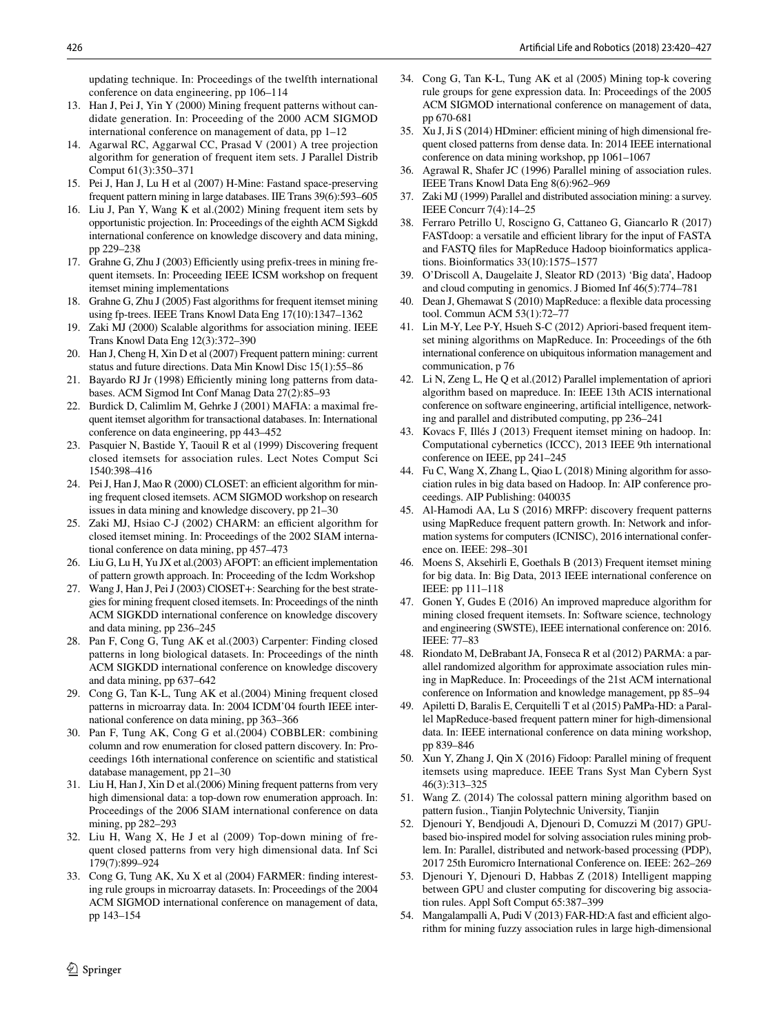updating technique. In: Proceedings of the twelfth international conference on data engineering, pp 106–114

- <span id="page-6-0"></span>13. Han J, Pei J, Yin Y (2000) Mining frequent patterns without candidate generation. In: Proceeding of the 2000 ACM SIGMOD international conference on management of data, pp 1–12
- <span id="page-6-1"></span>14. Agarwal RC, Aggarwal CC, Prasad V (2001) A tree projection algorithm for generation of frequent item sets. J Parallel Distrib Comput 61(3):350–371
- <span id="page-6-2"></span>15. Pei J, Han J, Lu H et al (2007) H-Mine: Fastand space-preserving frequent pattern mining in large databases. IIE Trans 39(6):593–605
- <span id="page-6-3"></span>16. Liu J, Pan Y, Wang K et al.(2002) Mining frequent item sets by opportunistic projection. In: Proceedings of the eighth ACM Sigkdd international conference on knowledge discovery and data mining, pp 229–238
- <span id="page-6-4"></span>17. Grahne G, Zhu J (2003) Efficiently using prefix-trees in mining frequent itemsets. In: Proceeding IEEE ICSM workshop on frequent itemset mining implementations
- <span id="page-6-5"></span>18. Grahne G, Zhu J (2005) Fast algorithms for frequent itemset mining using fp-trees. IEEE Trans Knowl Data Eng 17(10):1347–1362
- <span id="page-6-6"></span>19. Zaki MJ (2000) Scalable algorithms for association mining. IEEE Trans Knowl Data Eng 12(3):372–390
- <span id="page-6-7"></span>20. Han J, Cheng H, Xin D et al (2007) Frequent pattern mining: current status and future directions. Data Min Knowl Disc 15(1):55–86
- <span id="page-6-8"></span>21. Bayardo RJ Jr (1998) Efficiently mining long patterns from databases. ACM Sigmod Int Conf Manag Data 27(2):85–93
- <span id="page-6-9"></span>22. Burdick D, Calimlim M, Gehrke J (2001) MAFIA: a maximal frequent itemset algorithm for transactional databases. In: International conference on data engineering, pp 443–452
- <span id="page-6-10"></span>23. Pasquier N, Bastide Y, Taouil R et al (1999) Discovering frequent closed itemsets for association rules. Lect Notes Comput Sci 1540:398–416
- <span id="page-6-11"></span>24. Pei J, Han J, Mao R (2000) CLOSET: an efficient algorithm for mining frequent closed itemsets. ACM SIGMOD workshop on research issues in data mining and knowledge discovery, pp 21–30
- <span id="page-6-12"></span>25. Zaki MJ, Hsiao C-J (2002) CHARM: an efficient algorithm for closed itemset mining. In: Proceedings of the 2002 SIAM international conference on data mining, pp 457–473
- <span id="page-6-13"></span>26. Liu G, Lu H, Yu JX et al.(2003) AFOPT: an efficient implementation of pattern growth approach. In: Proceeding of the Icdm Workshop
- <span id="page-6-14"></span>27. Wang J, Han J, Pei J (2003) ClOSET+: Searching for the best strategies for mining frequent closed itemsets. In: Proceedings of the ninth ACM SIGKDD international conference on knowledge discovery and data mining, pp 236–245
- <span id="page-6-15"></span>28. Pan F, Cong G, Tung AK et al.(2003) Carpenter: Finding closed patterns in long biological datasets. In: Proceedings of the ninth ACM SIGKDD international conference on knowledge discovery and data mining, pp 637–642
- <span id="page-6-16"></span>29. Cong G, Tan K-L, Tung AK et al.(2004) Mining frequent closed patterns in microarray data. In: 2004 ICDM'04 fourth IEEE international conference on data mining, pp 363–366
- <span id="page-6-17"></span>30. Pan F, Tung AK, Cong G et al.(2004) COBBLER: combining column and row enumeration for closed pattern discovery. In: Proceedings 16th international conference on scientific and statistical database management, pp 21–30
- <span id="page-6-18"></span>31. Liu H, Han J, Xin D et al.(2006) Mining frequent patterns from very high dimensional data: a top-down row enumeration approach. In: Proceedings of the 2006 SIAM international conference on data mining, pp 282–293
- <span id="page-6-19"></span>32. Liu H, Wang X, He J et al (2009) Top-down mining of frequent closed patterns from very high dimensional data. Inf Sci 179(7):899–924
- <span id="page-6-20"></span>33. Cong G, Tung AK, Xu X et al (2004) FARMER: finding interesting rule groups in microarray datasets. In: Proceedings of the 2004 ACM SIGMOD international conference on management of data, pp 143–154
- <span id="page-6-21"></span>34. Cong G, Tan K-L, Tung AK et al (2005) Mining top-k covering rule groups for gene expression data. In: Proceedings of the 2005 ACM SIGMOD international conference on management of data, pp 670-681
- <span id="page-6-22"></span>35. Xu J, Ji S (2014) HDminer: efficient mining of high dimensional frequent closed patterns from dense data. In: 2014 IEEE international conference on data mining workshop, pp 1061–1067
- <span id="page-6-23"></span>36. Agrawal R, Shafer JC (1996) Parallel mining of association rules. IEEE Trans Knowl Data Eng 8(6):962–969
- <span id="page-6-24"></span>37. Zaki MJ (1999) Parallel and distributed association mining: a survey. IEEE Concurr 7(4):14–25
- <span id="page-6-25"></span>38. Ferraro Petrillo U, Roscigno G, Cattaneo G, Giancarlo R (2017) FASTdoop: a versatile and efficient library for the input of FASTA and FASTQ files for MapReduce Hadoop bioinformatics applications. Bioinformatics 33(10):1575–1577
- <span id="page-6-26"></span>39. O'Driscoll A, Daugelaite J, Sleator RD (2013) 'Big data', Hadoop and cloud computing in genomics. J Biomed Inf 46(5):774–781
- <span id="page-6-27"></span>40. Dean J, Ghemawat S (2010) MapReduce: a flexible data processing tool. Commun ACM 53(1):72–77
- <span id="page-6-28"></span>41. Lin M-Y, Lee P-Y, Hsueh S-C (2012) Apriori-based frequent itemset mining algorithms on MapReduce. In: Proceedings of the 6th international conference on ubiquitous information management and communication, p 76
- <span id="page-6-29"></span>42. Li N, Zeng L, He Q et al.(2012) Parallel implementation of apriori algorithm based on mapreduce. In: IEEE 13th ACIS international conference on software engineering, artificial intelligence, networking and parallel and distributed computing, pp 236–241
- <span id="page-6-30"></span>43. Kovacs F, Illés J (2013) Frequent itemset mining on hadoop. In: Computational cybernetics (ICCC), 2013 IEEE 9th international conference on IEEE, pp 241–245
- <span id="page-6-31"></span>44. Fu C, Wang X, Zhang L, Qiao L (2018) Mining algorithm for association rules in big data based on Hadoop. In: AIP conference proceedings. AIP Publishing: 040035
- <span id="page-6-32"></span>45. Al-Hamodi AA, Lu S (2016) MRFP: discovery frequent patterns using MapReduce frequent pattern growth. In: Network and information systems for computers (ICNISC), 2016 international conference on. IEEE: 298–301
- <span id="page-6-33"></span>46. Moens S, Aksehirli E, Goethals B (2013) Frequent itemset mining for big data. In: Big Data, 2013 IEEE international conference on IEEE: pp 111–118
- <span id="page-6-34"></span>47. Gonen Y, Gudes E (2016) An improved mapreduce algorithm for mining closed frequent itemsets. In: Software science, technology and engineering (SWSTE), IEEE international conference on: 2016. IEEE: 77–83
- <span id="page-6-35"></span>48. Riondato M, DeBrabant JA, Fonseca R et al (2012) PARMA: a parallel randomized algorithm for approximate association rules mining in MapReduce. In: Proceedings of the 21st ACM international conference on Information and knowledge management, pp 85–94
- <span id="page-6-36"></span>49. Apiletti D, Baralis E, Cerquitelli T et al (2015) PaMPa-HD: a Parallel MapReduce-based frequent pattern miner for high-dimensional data. In: IEEE international conference on data mining workshop, pp 839–846
- <span id="page-6-37"></span>50. Xun Y, Zhang J, Qin X (2016) Fidoop: Parallel mining of frequent itemsets using mapreduce. IEEE Trans Syst Man Cybern Syst 46(3):313–325
- <span id="page-6-38"></span>51. Wang Z. (2014) The colossal pattern mining algorithm based on pattern fusion., Tianjin Polytechnic University, Tianjin
- <span id="page-6-39"></span>52. Djenouri Y, Bendjoudi A, Djenouri D, Comuzzi M (2017) GPUbased bio-inspired model for solving association rules mining problem. In: Parallel, distributed and network-based processing (PDP), 2017 25th Euromicro International Conference on. IEEE: 262–269
- <span id="page-6-40"></span>53. Djenouri Y, Djenouri D, Habbas Z (2018) Intelligent mapping between GPU and cluster computing for discovering big association rules. Appl Soft Comput 65:387–399
- <span id="page-6-41"></span>54. Mangalampalli A, Pudi V (2013) FAR-HD:A fast and efficient algorithm for mining fuzzy association rules in large high-dimensional